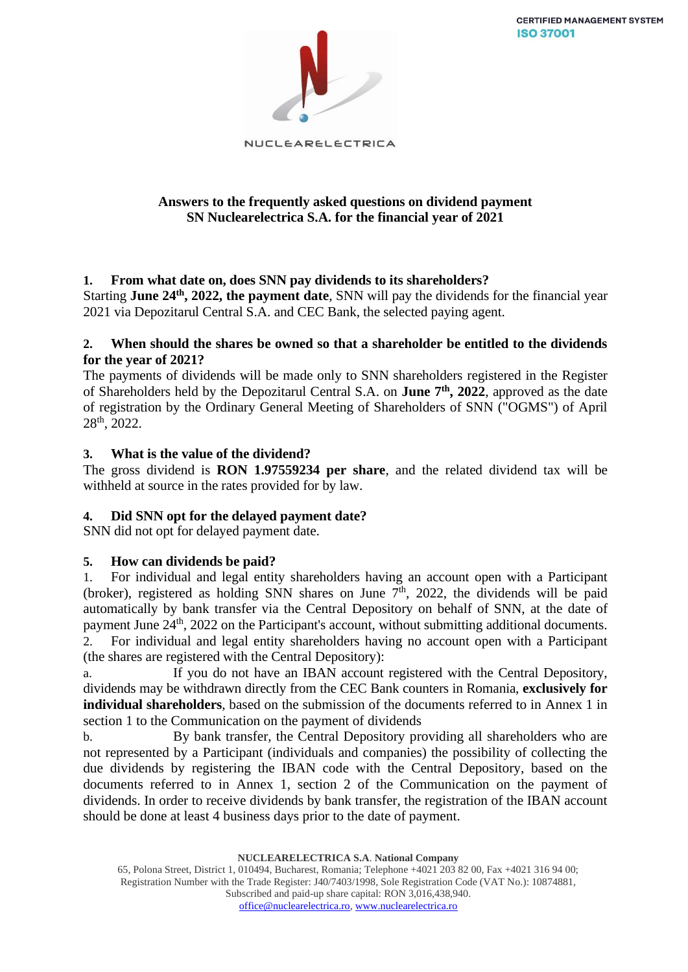**CERTIFIED MANAGEMENT SYSTEM ISO 37001** 



NUCLEARELECTRICA

## **Answers to the frequently asked questions on dividend payment SN Nuclearelectrica S.A. for the financial year of 2021**

# **1. From what date on, does SNN pay dividends to its shareholders?**

Starting **June 24th, 2022, the payment date**, SNN will pay the dividends for the financial year 2021 via Depozitarul Central S.A. and CEC Bank, the selected paying agent.

## **2. When should the shares be owned so that a shareholder be entitled to the dividends for the year of 2021?**

The payments of dividends will be made only to SNN shareholders registered in the Register of Shareholders held by the Depozitarul Central S.A. on **June 7th, 2022**, approved as the date of registration by the Ordinary General Meeting of Shareholders of SNN ("OGMS") of April 28th, 2022.

# **3. What is the value of the dividend?**

The gross dividend is **RON 1.97559234 per share**, and the related dividend tax will be withheld at source in the rates provided for by law.

# **4. Did SNN opt for the delayed payment date?**

SNN did not opt for delayed payment date.

# **5. How can dividends be paid?**

1. For individual and legal entity shareholders having an account open with a Participant (broker), registered as holding SNN shares on June  $7<sup>th</sup>$ , 2022, the dividends will be paid automatically by bank transfer via the Central Depository on behalf of SNN, at the date of payment June 24<sup>th</sup>, 2022 on the Participant's account, without submitting additional documents. 2. For individual and legal entity shareholders having no account open with a Participant (the shares are registered with the Central Depository):

a. If you do not have an IBAN account registered with the Central Depository, dividends may be withdrawn directly from the CEC Bank counters in Romania, **exclusively for individual shareholders**, based on the submission of the documents referred to in Annex 1 in section 1 to the Communication on the payment of dividends

b. By bank transfer, the Central Depository providing all shareholders who are not represented by a Participant (individuals and companies) the possibility of collecting the due dividends by registering the IBAN code with the Central Depository, based on the documents referred to in Annex 1, section 2 of the Communication on the payment of dividends. In order to receive dividends by bank transfer, the registration of the IBAN account should be done at least 4 business days prior to the date of payment.

**NUCLEARELECTRICA S.A**. **National Company**

<sup>65,</sup> Polona Street, District 1, 010494, Bucharest, Romania; Telephone +4021 203 82 00, Fax +4021 316 94 00; Registration Number with the Trade Register: J40/7403/1998, Sole Registration Code (VAT No.): 10874881, Subscribed and paid-up share capital: RON 3,016,438,940. [office@nuclearelectrica.ro,](mailto:office@nuclearelectrica.ro) [www.nuclearelectrica.ro](http://www.nuclearelectrica.ro/)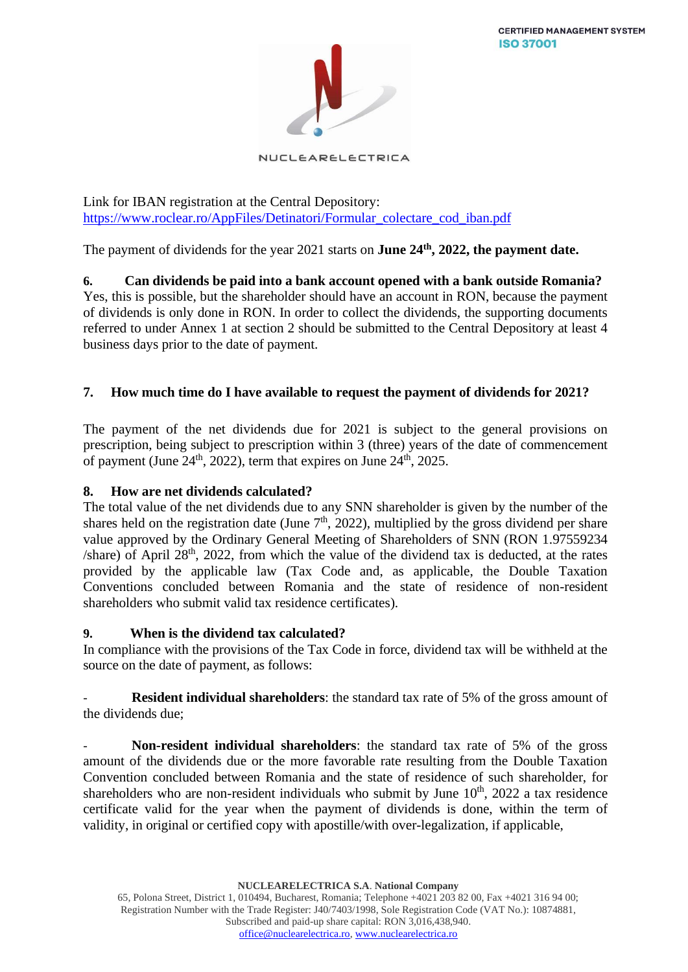

NUCLEARELECTRICA

Link for IBAN registration at the Central Depository: [https://www.roclear.ro/AppFiles/Detinatori/Formular\\_colectare\\_cod\\_iban.pdf](https://www.roclear.ro/AppFiles/Detinatori/Formular_colectare_cod_iban.pdf)

The payment of dividends for the year 2021 starts on **June 24th, 2022, the payment date.**

**6. Can dividends be paid into a bank account opened with a bank outside Romania?** Yes, this is possible, but the shareholder should have an account in RON, because the payment of dividends is only done in RON. In order to collect the dividends, the supporting documents referred to under Annex 1 at section 2 should be submitted to the Central Depository at least 4 business days prior to the date of payment.

## **7. How much time do I have available to request the payment of dividends for 2021?**

The payment of the net dividends due for 2021 is subject to the general provisions on prescription, being subject to prescription within 3 (three) years of the date of commencement of payment (June  $24<sup>th</sup>$ , 2022), term that expires on June  $24<sup>th</sup>$ , 2025.

## **8. How are net dividends calculated?**

The total value of the net dividends due to any SNN shareholder is given by the number of the shares held on the registration date (June  $7<sup>th</sup>$ , 2022), multiplied by the gross dividend per share value approved by the Ordinary General Meeting of Shareholders of SNN (RON 1.97559234  $\beta$  /share) of April 28<sup>th</sup>, 2022, from which the value of the dividend tax is deducted, at the rates provided by the applicable law (Tax Code and, as applicable, the Double Taxation Conventions concluded between Romania and the state of residence of non-resident shareholders who submit valid tax residence certificates).

## **9. When is the dividend tax calculated?**

In compliance with the provisions of the Tax Code in force, dividend tax will be withheld at the source on the date of payment, as follows:

**Resident individual shareholders**: the standard tax rate of 5% of the gross amount of the dividends due;

- **Non-resident individual shareholders**: the standard tax rate of 5% of the gross amount of the dividends due or the more favorable rate resulting from the Double Taxation Convention concluded between Romania and the state of residence of such shareholder, for shareholders who are non-resident individuals who submit by June  $10<sup>th</sup>$ , 2022 a tax residence certificate valid for the year when the payment of dividends is done, within the term of validity, in original or certified copy with apostille/with over-legalization, if applicable,

**NUCLEARELECTRICA S.A**. **National Company**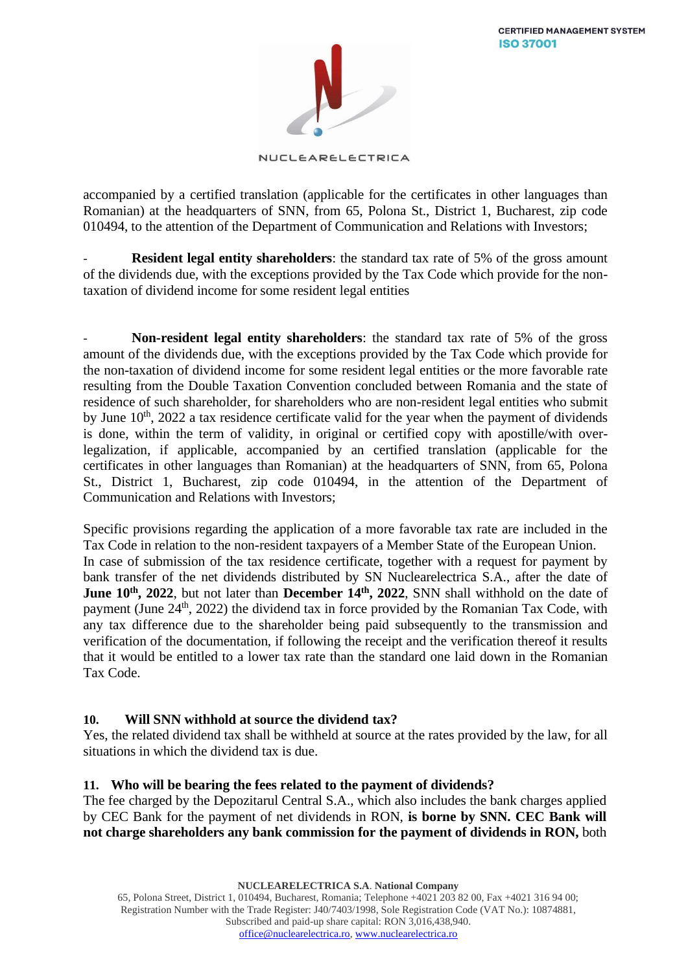

NUCLEARELECTRICA

accompanied by a certified translation (applicable for the certificates in other languages than Romanian) at the headquarters of SNN, from 65, Polona St., District 1, Bucharest, zip code 010494, to the attention of the Department of Communication and Relations with Investors;

**Resident legal entity shareholders**: the standard tax rate of 5% of the gross amount of the dividends due, with the exceptions provided by the Tax Code which provide for the nontaxation of dividend income for some resident legal entities

- **Non-resident legal entity shareholders**: the standard tax rate of 5% of the gross amount of the dividends due, with the exceptions provided by the Tax Code which provide for the non-taxation of dividend income for some resident legal entities or the more favorable rate resulting from the Double Taxation Convention concluded between Romania and the state of residence of such shareholder, for shareholders who are non-resident legal entities who submit by June  $10<sup>th</sup>$ , 2022 a tax residence certificate valid for the year when the payment of dividends is done, within the term of validity, in original or certified copy with apostille/with overlegalization, if applicable, accompanied by an certified translation (applicable for the certificates in other languages than Romanian) at the headquarters of SNN, from 65, Polona St., District 1, Bucharest, zip code 010494, in the attention of the Department of Communication and Relations with Investors;

Specific provisions regarding the application of a more favorable tax rate are included in the Tax Code in relation to the non-resident taxpayers of a Member State of the European Union. In case of submission of the tax residence certificate, together with a request for payment by bank transfer of the net dividends distributed by SN Nuclearelectrica S.A., after the date of **June 10th, 2022**, but not later than **December 14th , 2022**, SNN shall withhold on the date of payment (June 24<sup>th</sup>, 2022) the dividend tax in force provided by the Romanian Tax Code, with any tax difference due to the shareholder being paid subsequently to the transmission and verification of the documentation, if following the receipt and the verification thereof it results that it would be entitled to a lower tax rate than the standard one laid down in the Romanian Tax Code.

# **10. Will SNN withhold at source the dividend tax?**

Yes, the related dividend tax shall be withheld at source at the rates provided by the law, for all situations in which the dividend tax is due.

# **11. Who will be bearing the fees related to the payment of dividends?**

The fee charged by the Depozitarul Central S.A., which also includes the bank charges applied by CEC Bank for the payment of net dividends in RON, **is borne by SNN. CEC Bank will not charge shareholders any bank commission for the payment of dividends in RON,** both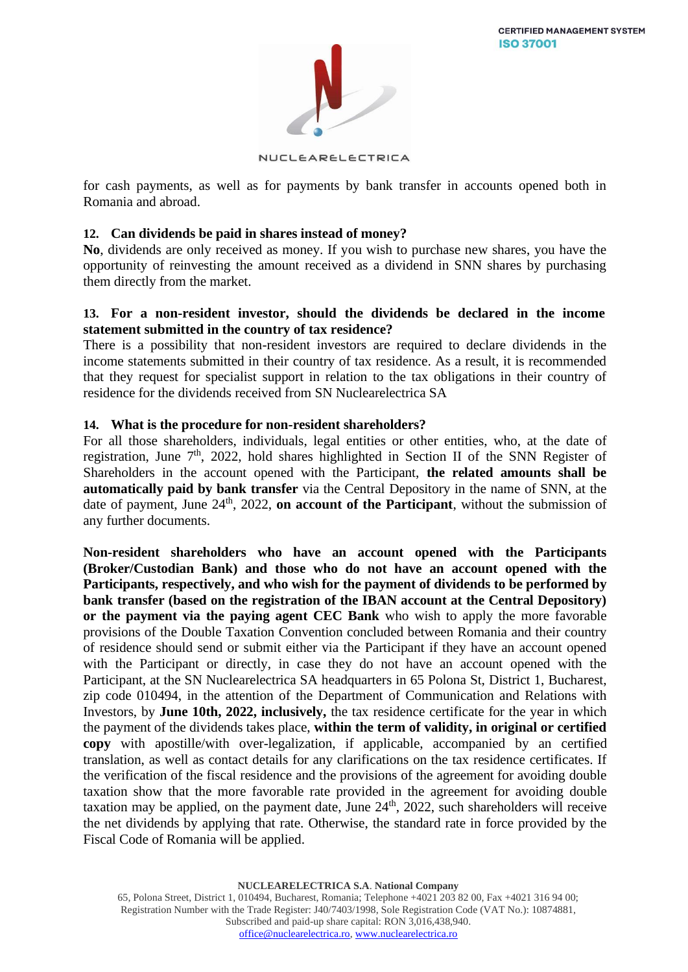

NUCLEARELECTRICA

for cash payments, as well as for payments by bank transfer in accounts opened both in Romania and abroad.

## **12. Can dividends be paid in shares instead of money?**

**No**, dividends are only received as money. If you wish to purchase new shares, you have the opportunity of reinvesting the amount received as a dividend in SNN shares by purchasing them directly from the market.

#### **13. For a non-resident investor, should the dividends be declared in the income statement submitted in the country of tax residence?**

There is a possibility that non-resident investors are required to declare dividends in the income statements submitted in their country of tax residence. As a result, it is recommended that they request for specialist support in relation to the tax obligations in their country of residence for the dividends received from SN Nuclearelectrica SA

#### **14. What is the procedure for non-resident shareholders?**

For all those shareholders, individuals, legal entities or other entities, who, at the date of registration, June  $7<sup>th</sup>$ , 2022, hold shares highlighted in Section II of the SNN Register of Shareholders in the account opened with the Participant, **the related amounts shall be automatically paid by bank transfer** via the Central Depository in the name of SNN, at the date of payment, June 24<sup>th</sup>, 2022, **on account of the Participant**, without the submission of any further documents.

**Non-resident shareholders who have an account opened with the Participants (Broker/Custodian Bank) and those who do not have an account opened with the Participants, respectively, and who wish for the payment of dividends to be performed by bank transfer (based on the registration of the IBAN account at the Central Depository) or the payment via the paying agent CEC Bank** who wish to apply the more favorable provisions of the Double Taxation Convention concluded between Romania and their country of residence should send or submit either via the Participant if they have an account opened with the Participant or directly, in case they do not have an account opened with the Participant, at the SN Nuclearelectrica SA headquarters in 65 Polona St, District 1, Bucharest, zip code 010494, in the attention of the Department of Communication and Relations with Investors, by **June 10th, 2022, inclusively,** the tax residence certificate for the year in which the payment of the dividends takes place, **within the term of validity, in original or certified copy** with apostille/with over-legalization, if applicable, accompanied by an certified translation, as well as contact details for any clarifications on the tax residence certificates. If the verification of the fiscal residence and the provisions of the agreement for avoiding double taxation show that the more favorable rate provided in the agreement for avoiding double taxation may be applied, on the payment date, June  $24<sup>th</sup>$ ,  $2022$ , such shareholders will receive the net dividends by applying that rate. Otherwise, the standard rate in force provided by the Fiscal Code of Romania will be applied.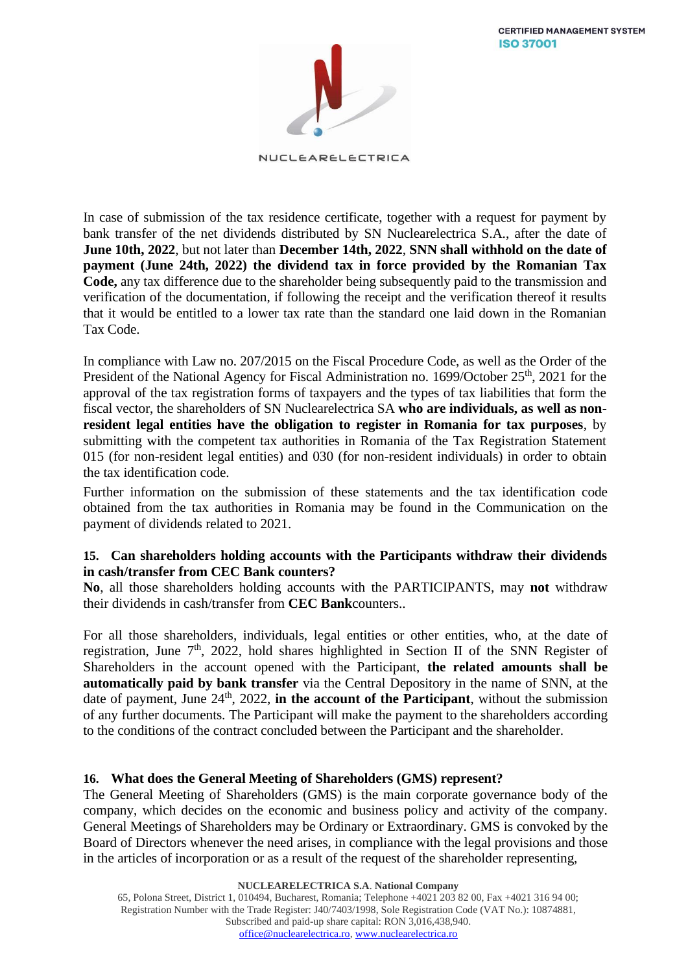**CERTIFIED MANAGEMENT SYSTEM ISO 37001** 



NUCLEARELECTRICA

In case of submission of the tax residence certificate, together with a request for payment by bank transfer of the net dividends distributed by SN Nuclearelectrica S.A., after the date of **June 10th, 2022**, but not later than **December 14th, 2022**, **SNN shall withhold on the date of payment (June 24th, 2022) the dividend tax in force provided by the Romanian Tax Code,** any tax difference due to the shareholder being subsequently paid to the transmission and verification of the documentation, if following the receipt and the verification thereof it results that it would be entitled to a lower tax rate than the standard one laid down in the Romanian Tax Code.

In compliance with Law no. 207/2015 on the Fiscal Procedure Code, as well as the Order of the President of the National Agency for Fiscal Administration no. 1699/October 25<sup>th</sup>, 2021 for the approval of the tax registration forms of taxpayers and the types of tax liabilities that form the fiscal vector, the shareholders of SN Nuclearelectrica SA **who are individuals, as well as nonresident legal entities have the obligation to register in Romania for tax purposes**, by submitting with the competent tax authorities in Romania of the Tax Registration Statement 015 (for non-resident legal entities) and 030 (for non-resident individuals) in order to obtain the tax identification code.

Further information on the submission of these statements and the tax identification code obtained from the tax authorities in Romania may be found in the Communication on the payment of dividends related to 2021.

## **15. Can shareholders holding accounts with the Participants withdraw their dividends in cash/transfer from CEC Bank counters?**

**No**, all those shareholders holding accounts with the PARTICIPANTS, may **not** withdraw their dividends in cash/transfer from **CEC Bank**counters..

For all those shareholders, individuals, legal entities or other entities, who, at the date of registration, June  $7<sup>th</sup>$ , 2022, hold shares highlighted in Section II of the SNN Register of Shareholders in the account opened with the Participant, **the related amounts shall be automatically paid by bank transfer** via the Central Depository in the name of SNN, at the date of payment, June  $24<sup>th</sup>$ ,  $2022$ , in the account of the Participant, without the submission of any further documents. The Participant will make the payment to the shareholders according to the conditions of the contract concluded between the Participant and the shareholder.

## **16. What does the General Meeting of Shareholders (GMS) represent?**

The General Meeting of Shareholders (GMS) is the main corporate governance body of the company, which decides on the economic and business policy and activity of the company. General Meetings of Shareholders may be Ordinary or Extraordinary. GMS is convoked by the Board of Directors whenever the need arises, in compliance with the legal provisions and those in the articles of incorporation or as a result of the request of the shareholder representing,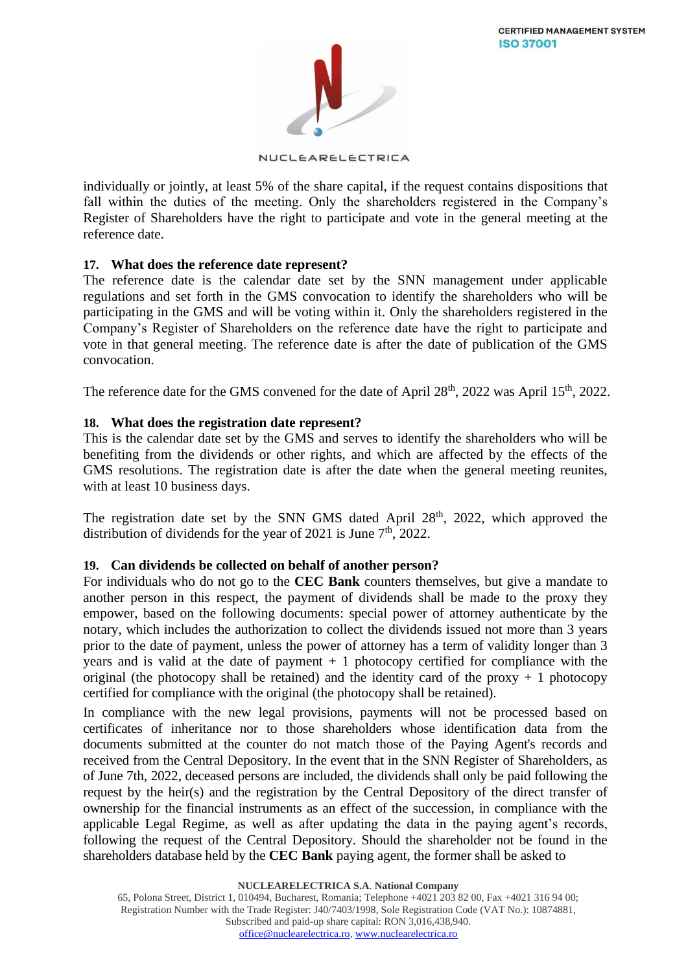

NUCLEARELECTRICA

individually or jointly, at least 5% of the share capital, if the request contains dispositions that fall within the duties of the meeting. Only the shareholders registered in the Company's Register of Shareholders have the right to participate and vote in the general meeting at the reference date.

## **17. What does the reference date represent?**

The reference date is the calendar date set by the SNN management under applicable regulations and set forth in the GMS convocation to identify the shareholders who will be participating in the GMS and will be voting within it. Only the shareholders registered in the Company's Register of Shareholders on the reference date have the right to participate and vote in that general meeting. The reference date is after the date of publication of the GMS convocation.

The reference date for the GMS convened for the date of April 28<sup>th</sup>, 2022 was April 15<sup>th</sup>, 2022.

## **18. What does the registration date represent?**

This is the calendar date set by the GMS and serves to identify the shareholders who will be benefiting from the dividends or other rights, and which are affected by the effects of the GMS resolutions. The registration date is after the date when the general meeting reunites, with at least 10 business days.

The registration date set by the SNN GMS dated April 28<sup>th</sup>, 2022, which approved the distribution of dividends for the year of 2021 is June  $7<sup>th</sup>$ , 2022.

## **19. Can dividends be collected on behalf of another person?**

For individuals who do not go to the **CEC Bank** counters themselves, but give a mandate to another person in this respect, the payment of dividends shall be made to the proxy they empower, based on the following documents: special power of attorney authenticate by the notary, which includes the authorization to collect the dividends issued not more than 3 years prior to the date of payment, unless the power of attorney has a term of validity longer than 3 years and is valid at the date of payment  $+1$  photocopy certified for compliance with the original (the photocopy shall be retained) and the identity card of the proxy  $+1$  photocopy certified for compliance with the original (the photocopy shall be retained).

In compliance with the new legal provisions, payments will not be processed based on certificates of inheritance nor to those shareholders whose identification data from the documents submitted at the counter do not match those of the Paying Agent's records and received from the Central Depository. In the event that in the SNN Register of Shareholders, as of June 7th, 2022, deceased persons are included, the dividends shall only be paid following the request by the heir(s) and the registration by the Central Depository of the direct transfer of ownership for the financial instruments as an effect of the succession, in compliance with the applicable Legal Regime, as well as after updating the data in the paying agent's records, following the request of the Central Depository. Should the shareholder not be found in the shareholders database held by the **CEC Bank** paying agent, the former shall be asked to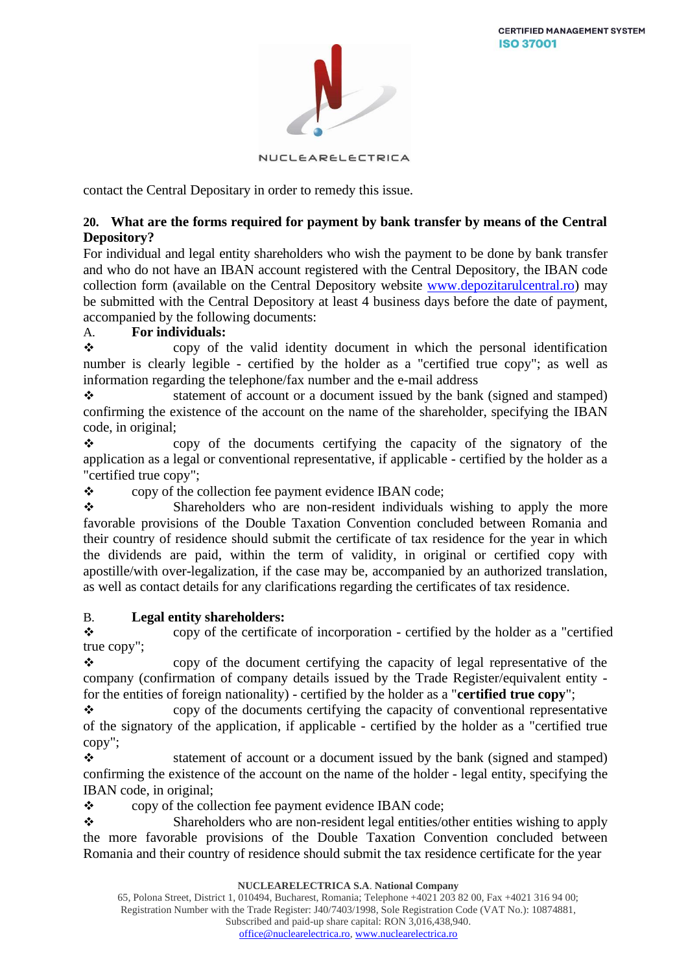

NUCLEARELECTRICA

contact the Central Depositary in order to remedy this issue.

## **20. What are the forms required for payment by bank transfer by means of the Central Depository?**

For individual and legal entity shareholders who wish the payment to be done by bank transfer and who do not have an IBAN account registered with the Central Depository, the IBAN code collection form (available on the Central Depository website [www.depozitarulcentral.ro\)](http://www.depozitarulcentral.ro/) may be submitted with the Central Depository at least 4 business days before the date of payment, accompanied by the following documents:

## A. **For individuals:**

❖ copy of the valid identity document in which the personal identification number is clearly legible - certified by the holder as a "certified true copy"; as well as information regarding the telephone/fax number and the e-mail address

❖ statement of account or a document issued by the bank (signed and stamped) confirming the existence of the account on the name of the shareholder, specifying the IBAN code, in original;

❖ copy of the documents certifying the capacity of the signatory of the application as a legal or conventional representative, if applicable - certified by the holder as a "certified true copy";

❖ copy of the collection fee payment evidence IBAN code;

❖ Shareholders who are non-resident individuals wishing to apply the more favorable provisions of the Double Taxation Convention concluded between Romania and their country of residence should submit the certificate of tax residence for the year in which the dividends are paid, within the term of validity, in original or certified copy with apostille/with over-legalization, if the case may be, accompanied by an authorized translation, as well as contact details for any clarifications regarding the certificates of tax residence.

## B. **Legal entity shareholders:**

❖ copy of the certificate of incorporation - certified by the holder as a "certified true copy";

❖ copy of the document certifying the capacity of legal representative of the company (confirmation of company details issued by the Trade Register/equivalent entity for the entities of foreign nationality) - certified by the holder as a "**certified true copy**";

❖ copy of the documents certifying the capacity of conventional representative of the signatory of the application, if applicable - certified by the holder as a "certified true copy";

❖ statement of account or a document issued by the bank (signed and stamped) confirming the existence of the account on the name of the holder - legal entity, specifying the IBAN code, in original;

❖ copy of the collection fee payment evidence IBAN code;

❖ Shareholders who are non-resident legal entities/other entities wishing to apply the more favorable provisions of the Double Taxation Convention concluded between Romania and their country of residence should submit the tax residence certificate for the year

**NUCLEARELECTRICA S.A**. **National Company**

65, Polona Street, District 1, 010494, Bucharest, Romania; Telephone +4021 203 82 00, Fax +4021 316 94 00; Registration Number with the Trade Register: J40/7403/1998, Sole Registration Code (VAT No.): 10874881, Subscribed and paid-up share capital: RON 3,016,438,940.

[office@nuclearelectrica.ro,](mailto:office@nuclearelectrica.ro) [www.nuclearelectrica.ro](http://www.nuclearelectrica.ro/)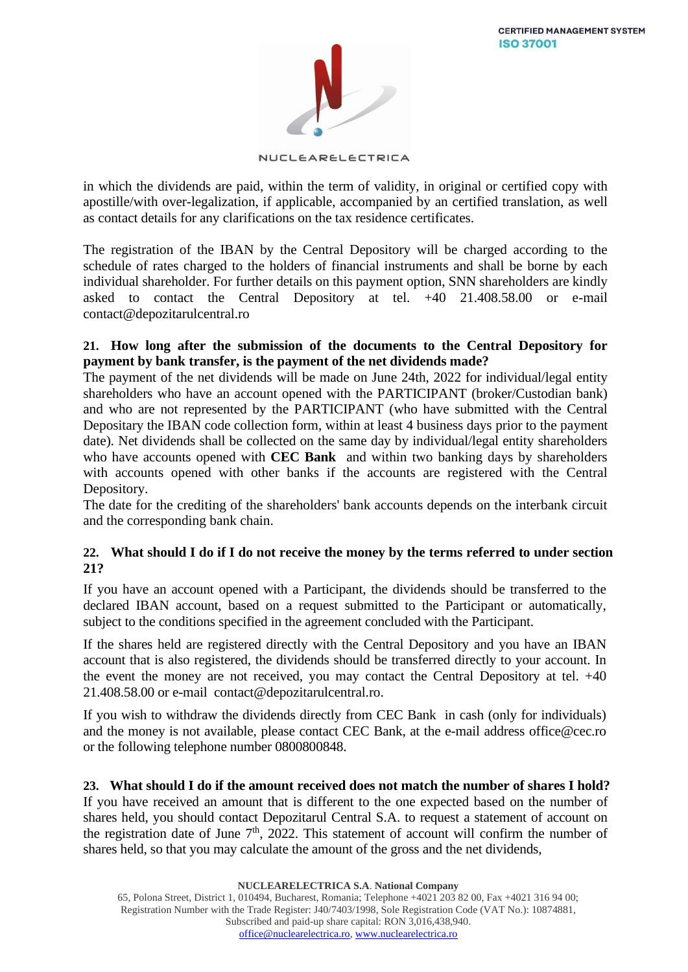

NUCLEARELECTRICA

in which the dividends are paid, within the term of validity, in original or certified copy with apostille/with over-legalization, if applicable, accompanied by an certified translation, as well as contact details for any clarifications on the tax residence certificates.

The registration of the IBAN by the Central Depository will be charged according to the schedule of rates charged to the holders of financial instruments and shall be borne by each individual shareholder. For further details on this payment option, SNN shareholders are kindly asked to contact the Central Depository at tel. +40 21.408.58.00 or e-mail [contact@depozitarulcentral.ro](mailto:contact@depozitarulcentral.ro)

## **21. How long after the submission of the documents to the Central Depository for payment by bank transfer, is the payment of the net dividends made?**

The payment of the net dividends will be made on June 24th, 2022 for individual/legal entity shareholders who have an account opened with the PARTICIPANT (broker/Custodian bank) and who are not represented by the PARTICIPANT (who have submitted with the Central Depositary the IBAN code collection form, within at least 4 business days prior to the payment date). Net dividends shall be collected on the same day by individual/legal entity shareholders who have accounts opened with **CEC Bank** and within two banking days by shareholders with accounts opened with other banks if the accounts are registered with the Central Depository.

The date for the crediting of the shareholders' bank accounts depends on the interbank circuit and the corresponding bank chain.

## **22. What should I do if I do not receive the money by the terms referred to under section 21?**

If you have an account opened with a Participant, the dividends should be transferred to the declared IBAN account, based on a request submitted to the Participant or automatically, subject to the conditions specified in the agreement concluded with the Participant.

If the shares held are registered directly with the Central Depository and you have an IBAN account that is also registered, the dividends should be transferred directly to your account. In the event the money are not received, you may contact the Central Depository at tel.  $+40$ 21.408.58.00 or e-mail [contact@depozitarulcentral.ro.](mailto:contact@depozitarulcentral.ro)

If you wish to withdraw the dividends directly from CEC Bank in cash (only for individuals) and the money is not available, please contact CEC Bank, at the e-mail address office@cec.ro or the following telephone number 0800800848.

**23. What should I do if the amount received does not match the number of shares I hold?** If you have received an amount that is different to the one expected based on the number of shares held, you should contact Depozitarul Central S.A. to request a statement of account on the registration date of June  $7<sup>th</sup>$ , 2022. This statement of account will confirm the number of shares held, so that you may calculate the amount of the gross and the net dividends,